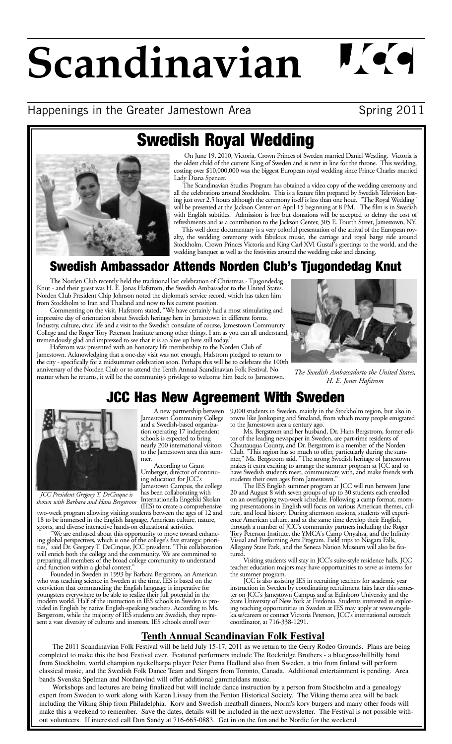# **Scandinavian**

# Happenings in the Greater Jamestown Area **Spring 2011**

 $\mathbf{N}$  (  $\bullet$ 



On June 19, 2010, Victoria, Crown Princes of Sweden married Daniel Westling. Victoria is **Swedish Royal Wedding**

the oldest child of the current King of Sweden and is next in line for the throne. This wedding, costing over \$10,000,000 was the biggest European royal wedding since Prince Charles married Lady Diana Spencer.

The Scandinavian Studies Program has obtained a video copy of the wedding ceremony and all the celebrations around Stockholm. This is a feature film prepared by Swedish Television lasting just over 2.5 hours although the ceremony itself is less than one hour. "The Royal Wedding" will be presented at the Jackson Center on April 15 beginning at 8 PM. The film is in Swedish with English subtitles. Admission is free but donations will be accepted to defray the cost of refreshments and as a contribution to the Jackson Center, 305 E. Fourth Street, Jamestown, NY.

This well done documentary is a very colorful presentation of the arrival of the European royalty, the wedding ceremony with fabulous music, the carriage and royal barge ride around Stockholm, Crown Princes Victoria and King Carl XVI Gustaf's greetings to the world, and the wedding banquet as well as the festivities around the wedding cake and dancing.

# **Swedish Ambassador Attends Norden Club's Tjugondedag Knut**

The Norden Club recently held the traditional last celebration of Christmas - Tjugondedag Knut - and their guest was H. E. Jonas Hafstrom, the Swedish Ambassador to the United States. Norden Club President Chip Johnson noted the diplomat's service record, which has taken him from Stockholm to Iran and Thailand and now to his current position.

Commenting on the visit, Hafstrom stated, "We have certainly had a most stimulating and impressive day of orientation about Swedish heritage here in Jamestown in different forms. Industry, culture, civic life and a visit to the Swedish consulate of course, Jamestown Community College and the Roger Tory Peterson Institute among other things. I am as you can all understand, tremendously glad and impressed to see that it is so alive up here still today."

Hafstrom was presented with an honorary life membership to the Norden Club of Jamestown. Acknowledging that a one-day visit was not enough, Hafstrom pledged to return to the city - specifically for a midsummer celebration soon. Perhaps this will be to celebrate the 100th anniversary of the Norden Club or to attend the Tenth Annual Scandinavian Folk Festival. No matter when he returns, it will be the community's privilege to welcome him back to Jamestown.

> A new partnership between Jamestown Community College and a Swedish-based organization operating 17 independent schools is expected to bring nearly 200 international visitors to the Jamestown area this sum-

According to Grant Umberger, director of continuing education for JCC's<br>Jamestown Campus, the college Jamestown Campus, the college has been collaborating with Internationella Engelski Skolan



*The Swedish Ambassadorto the United States, H. E. Jones Hafstrom*

# **JCC Has New Agreement With Sweden**



*JCC President Gregory T. DeCinque is shown with Barbara and Hans Bergstrom*

(IES) to create a comprehensive two-week program allowing visiting students between the ages of 12 and

mer.

18 to be immersed in the English language, American culture, nature,<br>sports, and diverse interactive hands-on educational activities.<br>"We are enthused about this opportunity to move toward enhanc-<br>ing global perspectives, ties," said Dr. Gregory T. DeCinque, JCC president. "This collaboration will enrich both the college and the community. We are committed to will enrich both the college and the community. We are committed to preparing all members of the broad college community to understand and function within a global context." Founded in Sweden in 1993 by Barbara Bergstrom,

conviction that commanding the English language is imperative for youngsters everywhere to be able to realize their full potential in the modern world. Half of the instruction in IES schools in Sweden is pro- vided in English by native English-speaking teachers. According to Ms. Bergstrom, while the majority of IES students are Swedish, they represent a vast diversity of cultures and interests. IES schools enroll over

9,000 students in Sweden, mainly in the Stockholm region, but also in towns like Jonkoping and Smaland, from which many people emigrated to the Jamestown area a century ago.<br>Ms. Bergstrom and her husband, Dr. Hans Bergstrom, former edi-

Ms. Bergstrom and her husband, Dr. Hans Bergstrom, former edi- tor of the leading newspaper in Sweden, are part-time residents of Chautauqua County, and Dr. Bergstrom is a member of the Norden Club. "This region has so much to offer, particularly during the summer," Ms. Bergstrom said. "The strong Swedish heritage of Jamestown<br>makes it extra exciting to arrange the summer program at JCC and to<br>have Swedish students meet, communicate with, and make friends with students their own ages from Jamestown." The IES English summer program at JCC will run between June

20 and August 8 with seven groups of up to 30 students each enrolled on an overlapping two-week schedule. Following a camp format, morning presentations in English will focus on various American themes, culture, and local history. During afternoon sessions, students will experience American culture, and at the same time develop their English, through a number of JCC's community partners including the Roger Tory Peterson Institute, the YMCA's Camp Onyahsa, and the Infinity Visual and Performing Arts Program. Field trips to Niagara Falls, Allegany State Park, and the Seneca Nation Museum will also be featured.

Visiting students will stay in JCC's suite-style residence halls. JCC teacher education majors may have opportunities to serve as interns for

JCC is also assisting IES in recruiting teachers for academic year instruction in Sweden by coordinating recruitment fairs later this semester on JCC's Jamestown Campus and at Edinboro University and the State University of New York at Fredonia. Students interested in exploring teaching opportunities in Sweden at IES may apply at www.engelska.se/careers or contact Victoria Peterson, JCC's international outreach coordinator, at 716-338-1291.

#### **Tenth Annual Scandinavian Folk Festival**

The 2011 Scandinavian Folk Festival will be held July 15-17, 2011 as we return to the Gerry Rodeo Grounds. Plans are being completed to make this the best Festival ever. Featured performers include The Rockridge Brothers - a bluegrass/hillbilly band from Stockholm, world champion nyckelharpa player Peter Puma Hedlund also from Sweden, a trio from finland will perform classical music, and the Swedish Folk Dance Team and Singers from Toronto, Canada. Additional entertainment is pending. Area bands Svenska Spelman and Nordanvind will offer additional gammeldans music.

Workshops and lectures are being finalized but will include dance instruction by a person from Stockholm and a genealogy expert from Sweden to work along with Karen Livsey from the Fenton Historical Society. The Viking theme area will be back including the Viking Ship from Philadelphia. Korv and Swedish meatball dinners, Norm's korv burgers and many other foods will make this a weekend to remember. Save the dates, details will be included in the next newsletter. The Festival is not possible without volunteers. If interested call Don Sandy at 716-665-0883. Get in on the fun and be Nordic for the weekend.